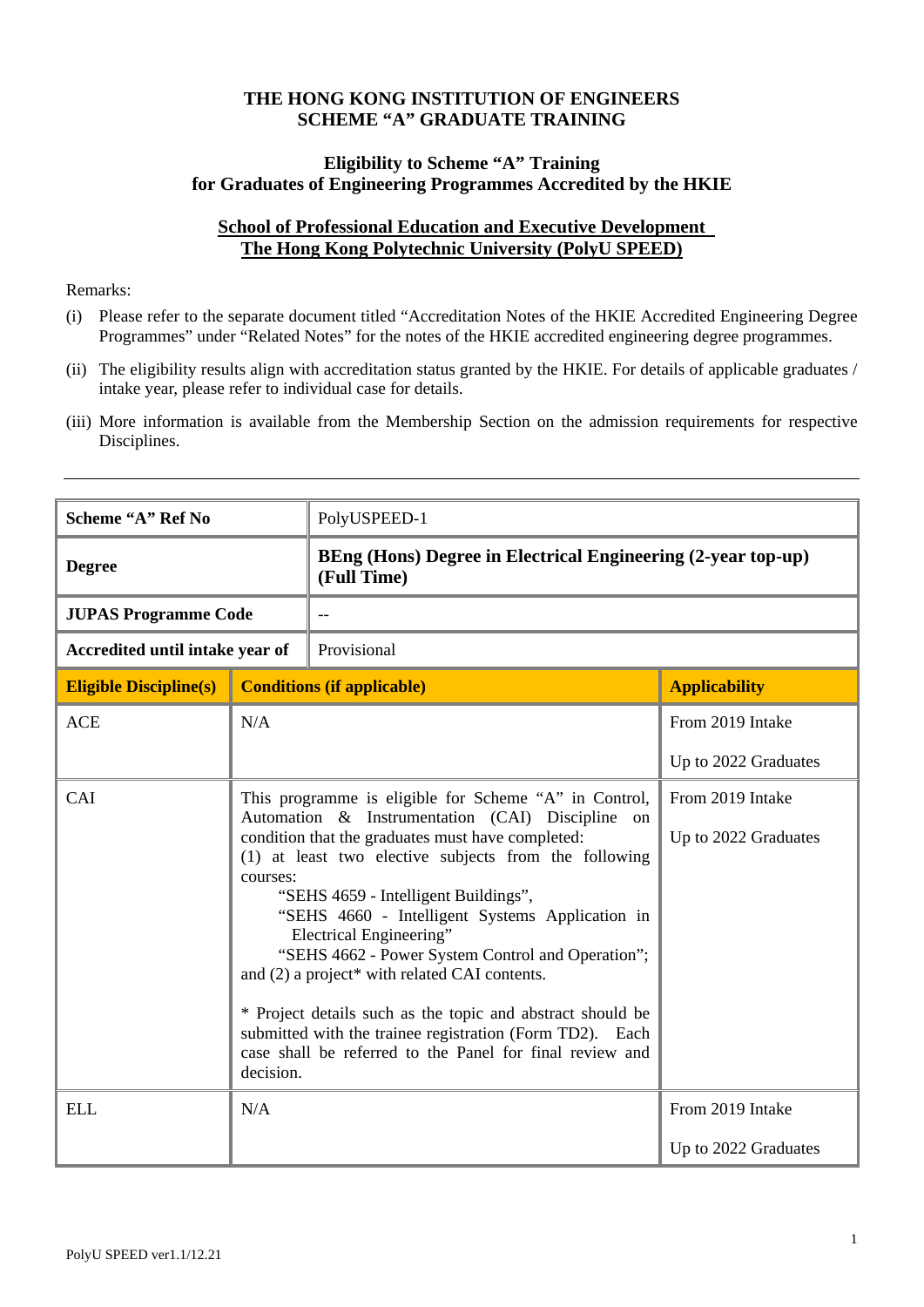#### **THE HONG KONG INSTITUTION OF ENGINEERS SCHEME "A" GRADUATE TRAINING**

## **Eligibility to Scheme "A" Training for Graduates of Engineering Programmes Accredited by the HKIE**

# **School of Professional Education and Executive Development The Hong Kong Polytechnic University (PolyU SPEED)**

#### Remarks:

- (i) Please refer to the separate document titled "Accreditation Notes of the HKIE Accredited Engineering Degree Programmes" under "Related Notes" for the notes of the HKIE accredited engineering degree programmes.
- (ii) The eligibility results align with accreditation status granted by the HKIE. For details of applicable graduates / intake year, please refer to individual case for details.
- (iii) More information is available from the Membership Section on the admission requirements for respective Disciplines.

| Scheme "A" Ref No               |                                                                                                                                                                                                                                                                                                                                                                                                                                                                                                                                                                                                                                                                    | PolyUSPEED-1                                                                |                                          |  |
|---------------------------------|--------------------------------------------------------------------------------------------------------------------------------------------------------------------------------------------------------------------------------------------------------------------------------------------------------------------------------------------------------------------------------------------------------------------------------------------------------------------------------------------------------------------------------------------------------------------------------------------------------------------------------------------------------------------|-----------------------------------------------------------------------------|------------------------------------------|--|
| <b>Degree</b>                   |                                                                                                                                                                                                                                                                                                                                                                                                                                                                                                                                                                                                                                                                    | BEng (Hons) Degree in Electrical Engineering (2-year top-up)<br>(Full Time) |                                          |  |
| <b>JUPAS Programme Code</b>     |                                                                                                                                                                                                                                                                                                                                                                                                                                                                                                                                                                                                                                                                    |                                                                             |                                          |  |
| Accredited until intake year of |                                                                                                                                                                                                                                                                                                                                                                                                                                                                                                                                                                                                                                                                    | Provisional                                                                 |                                          |  |
| <b>Eligible Discipline(s)</b>   | <b>Conditions (if applicable)</b>                                                                                                                                                                                                                                                                                                                                                                                                                                                                                                                                                                                                                                  |                                                                             | <b>Applicability</b>                     |  |
| <b>ACE</b>                      | N/A                                                                                                                                                                                                                                                                                                                                                                                                                                                                                                                                                                                                                                                                |                                                                             | From 2019 Intake                         |  |
|                                 |                                                                                                                                                                                                                                                                                                                                                                                                                                                                                                                                                                                                                                                                    |                                                                             | Up to 2022 Graduates                     |  |
| CAI                             | This programme is eligible for Scheme "A" in Control,<br>Automation & Instrumentation (CAI) Discipline on<br>condition that the graduates must have completed:<br>(1) at least two elective subjects from the following<br>courses:<br>"SEHS 4659 - Intelligent Buildings",<br>"SEHS 4660 - Intelligent Systems Application in<br>Electrical Engineering"<br>"SEHS 4662 - Power System Control and Operation";<br>and (2) a project* with related CAI contents.<br>* Project details such as the topic and abstract should be<br>submitted with the trainee registration (Form TD2). Each<br>case shall be referred to the Panel for final review and<br>decision. |                                                                             | From 2019 Intake<br>Up to 2022 Graduates |  |
| <b>ELL</b>                      | N/A                                                                                                                                                                                                                                                                                                                                                                                                                                                                                                                                                                                                                                                                |                                                                             | From 2019 Intake                         |  |
|                                 |                                                                                                                                                                                                                                                                                                                                                                                                                                                                                                                                                                                                                                                                    |                                                                             | Up to 2022 Graduates                     |  |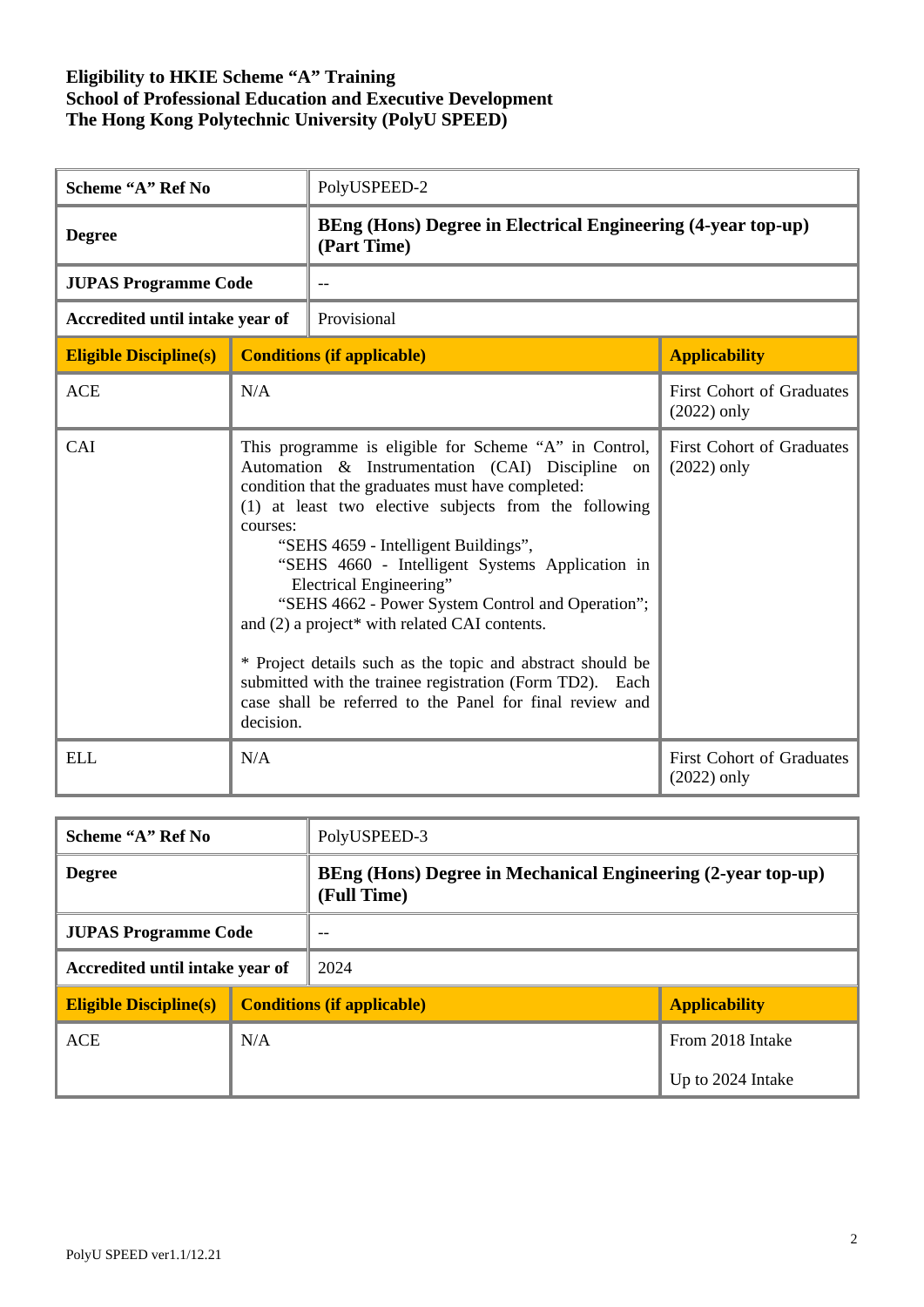| Scheme "A" Ref No               |                                                                                                                                                                                                                                                                                                                                                                                                                                                                                                                                                                                                                                                                    | PolyUSPEED-2                                                                       |                                                   |  |
|---------------------------------|--------------------------------------------------------------------------------------------------------------------------------------------------------------------------------------------------------------------------------------------------------------------------------------------------------------------------------------------------------------------------------------------------------------------------------------------------------------------------------------------------------------------------------------------------------------------------------------------------------------------------------------------------------------------|------------------------------------------------------------------------------------|---------------------------------------------------|--|
| <b>Degree</b>                   |                                                                                                                                                                                                                                                                                                                                                                                                                                                                                                                                                                                                                                                                    | <b>BEng (Hons) Degree in Electrical Engineering (4-year top-up)</b><br>(Part Time) |                                                   |  |
| <b>JUPAS Programme Code</b>     |                                                                                                                                                                                                                                                                                                                                                                                                                                                                                                                                                                                                                                                                    |                                                                                    |                                                   |  |
| Accredited until intake year of |                                                                                                                                                                                                                                                                                                                                                                                                                                                                                                                                                                                                                                                                    | Provisional                                                                        |                                                   |  |
| <b>Eligible Discipline(s)</b>   | <b>Conditions (if applicable)</b>                                                                                                                                                                                                                                                                                                                                                                                                                                                                                                                                                                                                                                  |                                                                                    | <b>Applicability</b>                              |  |
| <b>ACE</b>                      | N/A                                                                                                                                                                                                                                                                                                                                                                                                                                                                                                                                                                                                                                                                |                                                                                    | <b>First Cohort of Graduates</b><br>$(2022)$ only |  |
| CAI                             | This programme is eligible for Scheme "A" in Control,<br>Automation & Instrumentation (CAI) Discipline on<br>condition that the graduates must have completed:<br>(1) at least two elective subjects from the following<br>courses:<br>"SEHS 4659 - Intelligent Buildings",<br>"SEHS 4660 - Intelligent Systems Application in<br>Electrical Engineering"<br>"SEHS 4662 - Power System Control and Operation";<br>and (2) a project* with related CAI contents.<br>* Project details such as the topic and abstract should be<br>submitted with the trainee registration (Form TD2). Each<br>case shall be referred to the Panel for final review and<br>decision. |                                                                                    | <b>First Cohort of Graduates</b><br>$(2022)$ only |  |
| <b>ELL</b>                      | N/A                                                                                                                                                                                                                                                                                                                                                                                                                                                                                                                                                                                                                                                                |                                                                                    | <b>First Cohort of Graduates</b><br>$(2022)$ only |  |

| Scheme "A" Ref No               |     | PolyUSPEED-3                                                                |                      |
|---------------------------------|-----|-----------------------------------------------------------------------------|----------------------|
| <b>Degree</b>                   |     | BEng (Hons) Degree in Mechanical Engineering (2-year top-up)<br>(Full Time) |                      |
| <b>JUPAS Programme Code</b>     |     | $-$                                                                         |                      |
| Accredited until intake year of |     | 2024                                                                        |                      |
| <b>Eligible Discipline(s)</b>   |     | <b>Conditions (if applicable)</b>                                           | <b>Applicability</b> |
| <b>ACE</b>                      | N/A |                                                                             | From 2018 Intake     |
|                                 |     |                                                                             | Up to 2024 Intake    |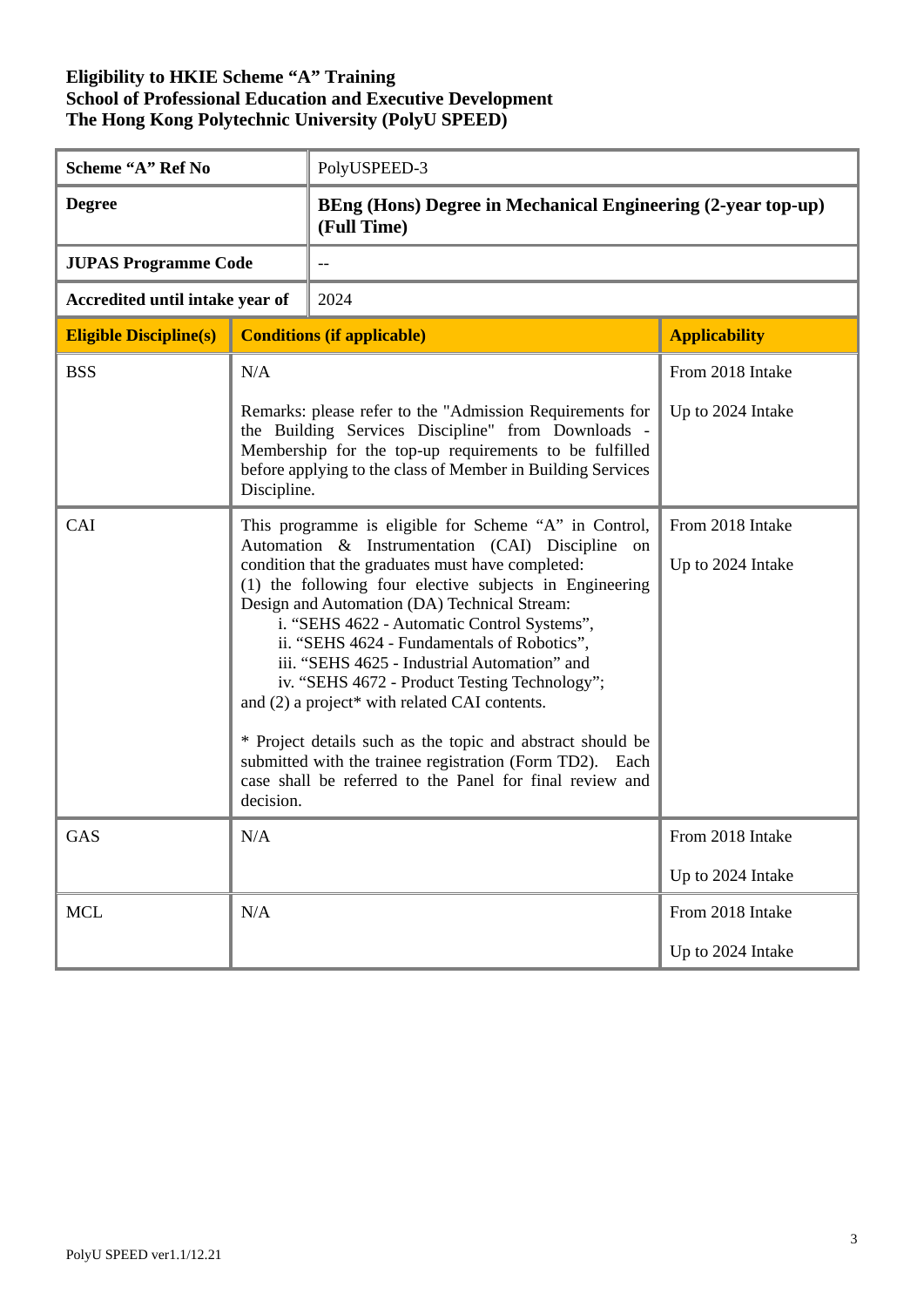| Scheme "A" Ref No               |                                                                                                                                                                                                                                                                                                                                                                                                                                                                                                                                                                                                                                                                                                                              | PolyUSPEED-3                                                                |                                       |  |
|---------------------------------|------------------------------------------------------------------------------------------------------------------------------------------------------------------------------------------------------------------------------------------------------------------------------------------------------------------------------------------------------------------------------------------------------------------------------------------------------------------------------------------------------------------------------------------------------------------------------------------------------------------------------------------------------------------------------------------------------------------------------|-----------------------------------------------------------------------------|---------------------------------------|--|
| <b>Degree</b>                   |                                                                                                                                                                                                                                                                                                                                                                                                                                                                                                                                                                                                                                                                                                                              | BEng (Hons) Degree in Mechanical Engineering (2-year top-up)<br>(Full Time) |                                       |  |
| <b>JUPAS Programme Code</b>     |                                                                                                                                                                                                                                                                                                                                                                                                                                                                                                                                                                                                                                                                                                                              | --                                                                          |                                       |  |
| Accredited until intake year of |                                                                                                                                                                                                                                                                                                                                                                                                                                                                                                                                                                                                                                                                                                                              | 2024                                                                        |                                       |  |
| <b>Eligible Discipline(s)</b>   |                                                                                                                                                                                                                                                                                                                                                                                                                                                                                                                                                                                                                                                                                                                              | <b>Conditions (if applicable)</b>                                           | <b>Applicability</b>                  |  |
| <b>BSS</b>                      | N/A                                                                                                                                                                                                                                                                                                                                                                                                                                                                                                                                                                                                                                                                                                                          |                                                                             | From 2018 Intake                      |  |
|                                 | Remarks: please refer to the "Admission Requirements for<br>Up to 2024 Intake<br>the Building Services Discipline" from Downloads -<br>Membership for the top-up requirements to be fulfilled<br>before applying to the class of Member in Building Services<br>Discipline.                                                                                                                                                                                                                                                                                                                                                                                                                                                  |                                                                             |                                       |  |
| CAI                             | This programme is eligible for Scheme "A" in Control,<br>Automation & Instrumentation (CAI) Discipline on<br>condition that the graduates must have completed:<br>(1) the following four elective subjects in Engineering<br>Design and Automation (DA) Technical Stream:<br>i. "SEHS 4622 - Automatic Control Systems",<br>ii. "SEHS 4624 - Fundamentals of Robotics",<br>iii. "SEHS 4625 - Industrial Automation" and<br>iv. "SEHS 4672 - Product Testing Technology";<br>and (2) a project* with related CAI contents.<br>* Project details such as the topic and abstract should be<br>submitted with the trainee registration (Form TD2). Each<br>case shall be referred to the Panel for final review and<br>decision. |                                                                             | From 2018 Intake<br>Up to 2024 Intake |  |
| <b>GAS</b>                      | N/A                                                                                                                                                                                                                                                                                                                                                                                                                                                                                                                                                                                                                                                                                                                          |                                                                             | From 2018 Intake<br>Up to 2024 Intake |  |
| <b>MCL</b>                      | N/A                                                                                                                                                                                                                                                                                                                                                                                                                                                                                                                                                                                                                                                                                                                          |                                                                             | From 2018 Intake                      |  |
|                                 |                                                                                                                                                                                                                                                                                                                                                                                                                                                                                                                                                                                                                                                                                                                              |                                                                             | Up to 2024 Intake                     |  |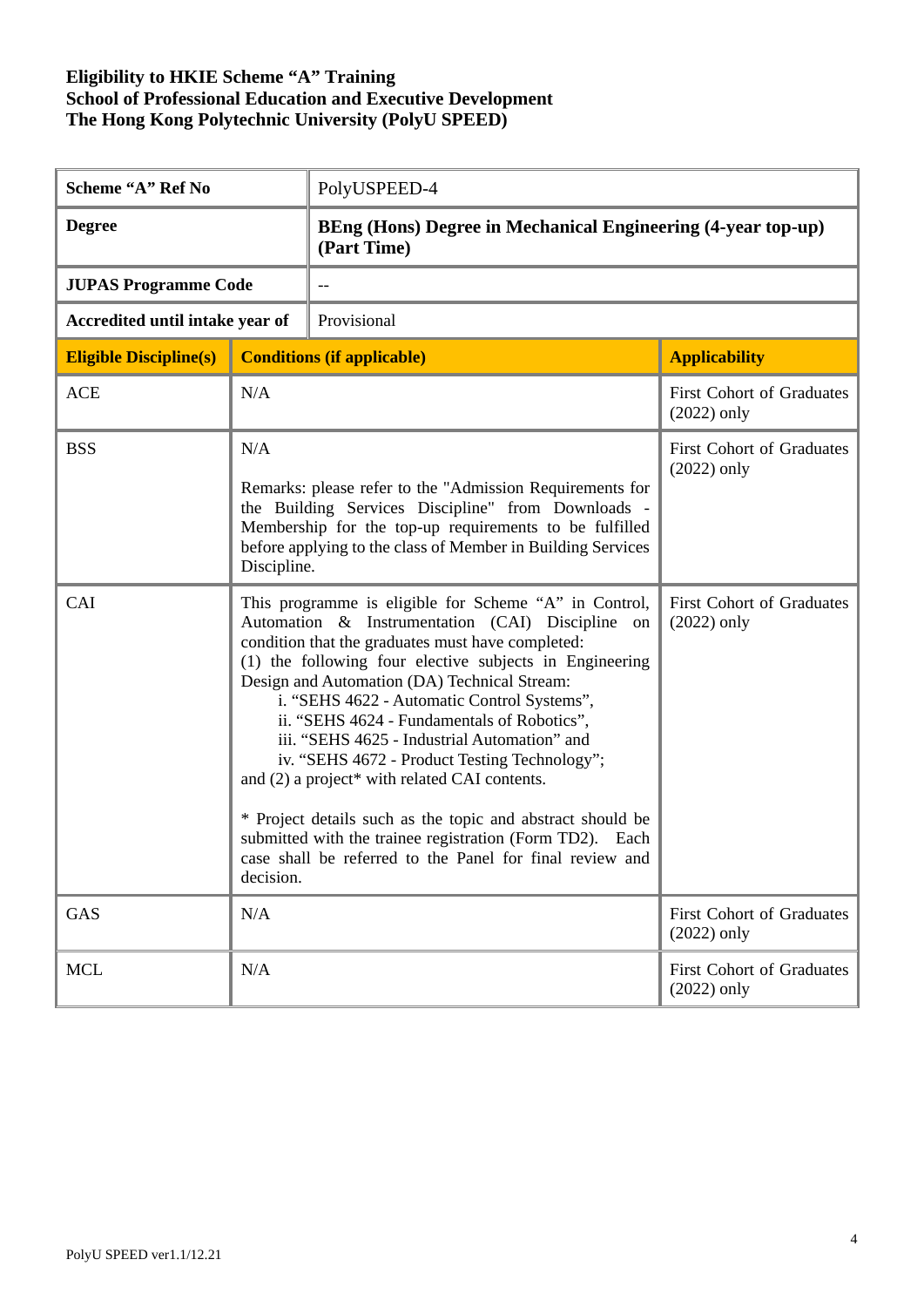| Scheme "A" Ref No               |                                                                                                                                                                                                                                                                                                                                                                                                                                                                                                                                                                                                                                                                                                                              | PolyUSPEED-4                                                                |                                                   |  |
|---------------------------------|------------------------------------------------------------------------------------------------------------------------------------------------------------------------------------------------------------------------------------------------------------------------------------------------------------------------------------------------------------------------------------------------------------------------------------------------------------------------------------------------------------------------------------------------------------------------------------------------------------------------------------------------------------------------------------------------------------------------------|-----------------------------------------------------------------------------|---------------------------------------------------|--|
| <b>Degree</b>                   |                                                                                                                                                                                                                                                                                                                                                                                                                                                                                                                                                                                                                                                                                                                              | BEng (Hons) Degree in Mechanical Engineering (4-year top-up)<br>(Part Time) |                                                   |  |
| <b>JUPAS Programme Code</b>     |                                                                                                                                                                                                                                                                                                                                                                                                                                                                                                                                                                                                                                                                                                                              |                                                                             |                                                   |  |
| Accredited until intake year of |                                                                                                                                                                                                                                                                                                                                                                                                                                                                                                                                                                                                                                                                                                                              | Provisional                                                                 |                                                   |  |
| <b>Eligible Discipline(s)</b>   |                                                                                                                                                                                                                                                                                                                                                                                                                                                                                                                                                                                                                                                                                                                              | <b>Conditions (if applicable)</b>                                           | <b>Applicability</b>                              |  |
| <b>ACE</b>                      | N/A                                                                                                                                                                                                                                                                                                                                                                                                                                                                                                                                                                                                                                                                                                                          |                                                                             | <b>First Cohort of Graduates</b><br>$(2022)$ only |  |
| <b>BSS</b>                      | N/A<br>Remarks: please refer to the "Admission Requirements for<br>the Building Services Discipline" from Downloads -<br>Membership for the top-up requirements to be fulfilled<br>before applying to the class of Member in Building Services<br>Discipline.                                                                                                                                                                                                                                                                                                                                                                                                                                                                |                                                                             | <b>First Cohort of Graduates</b><br>$(2022)$ only |  |
| CAI                             | This programme is eligible for Scheme "A" in Control,<br>Automation & Instrumentation (CAI) Discipline on<br>condition that the graduates must have completed:<br>(1) the following four elective subjects in Engineering<br>Design and Automation (DA) Technical Stream:<br>i. "SEHS 4622 - Automatic Control Systems",<br>ii. "SEHS 4624 - Fundamentals of Robotics",<br>iii. "SEHS 4625 - Industrial Automation" and<br>iv. "SEHS 4672 - Product Testing Technology";<br>and (2) a project* with related CAI contents.<br>* Project details such as the topic and abstract should be<br>submitted with the trainee registration (Form TD2). Each<br>case shall be referred to the Panel for final review and<br>decision. |                                                                             | <b>First Cohort of Graduates</b><br>$(2022)$ only |  |
| <b>GAS</b>                      | N/A                                                                                                                                                                                                                                                                                                                                                                                                                                                                                                                                                                                                                                                                                                                          |                                                                             | First Cohort of Graduates<br>$(2022)$ only        |  |
| <b>MCL</b>                      | N/A                                                                                                                                                                                                                                                                                                                                                                                                                                                                                                                                                                                                                                                                                                                          |                                                                             | <b>First Cohort of Graduates</b><br>$(2022)$ only |  |